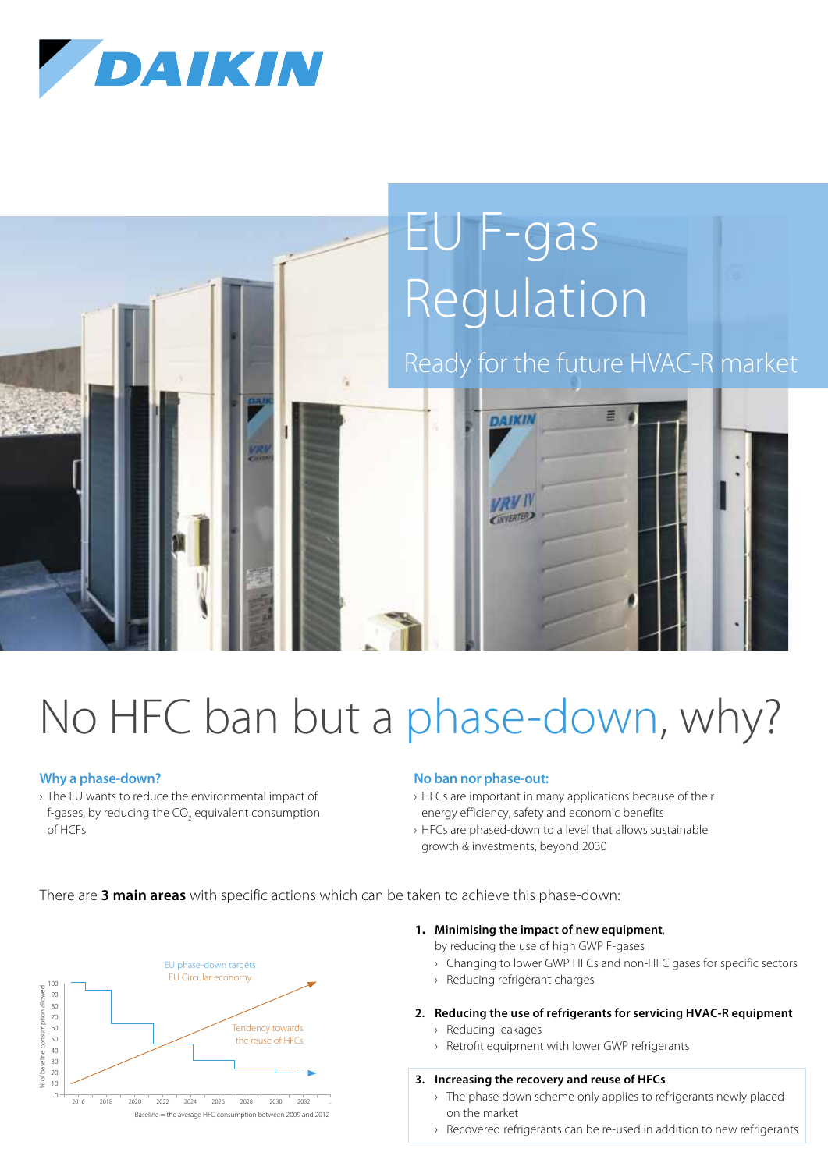



# No HFC ban but a phase-down, why?

#### **Why a phase-down?**

› The EU wants to reduce the environmental impact of f-gases, by reducing the CO<sub>2</sub> equivalent consumption of HCFs

#### **No ban nor phase-out:**

- › HFCs are important in many applications because of their energy efficiency, safety and economic benefits
- › HFCs are phased-down to a level that allows sustainable growth & investments, beyond 2030

There are **3 main areas** with specific actions which can be taken to achieve this phase-down:



- **1. Minimising the impact of new equipment**, by reducing the use of high GWP F-gases
	- › Changing to lower GWP HFCs and non-HFC gases for specific sectors
	- › Reducing refrigerant charges
- **2. Reducing the use of refrigerants for servicing HVAC-R equipment**
	- › Reducing leakages
	- › Retrofit equipment with lower GWP refrigerants

#### **3. Increasing the recovery and reuse of HFCs**

- › The phase down scheme only applies to refrigerants newly placed on the market
- › Recovered refrigerants can be re-used in addition to new refrigerants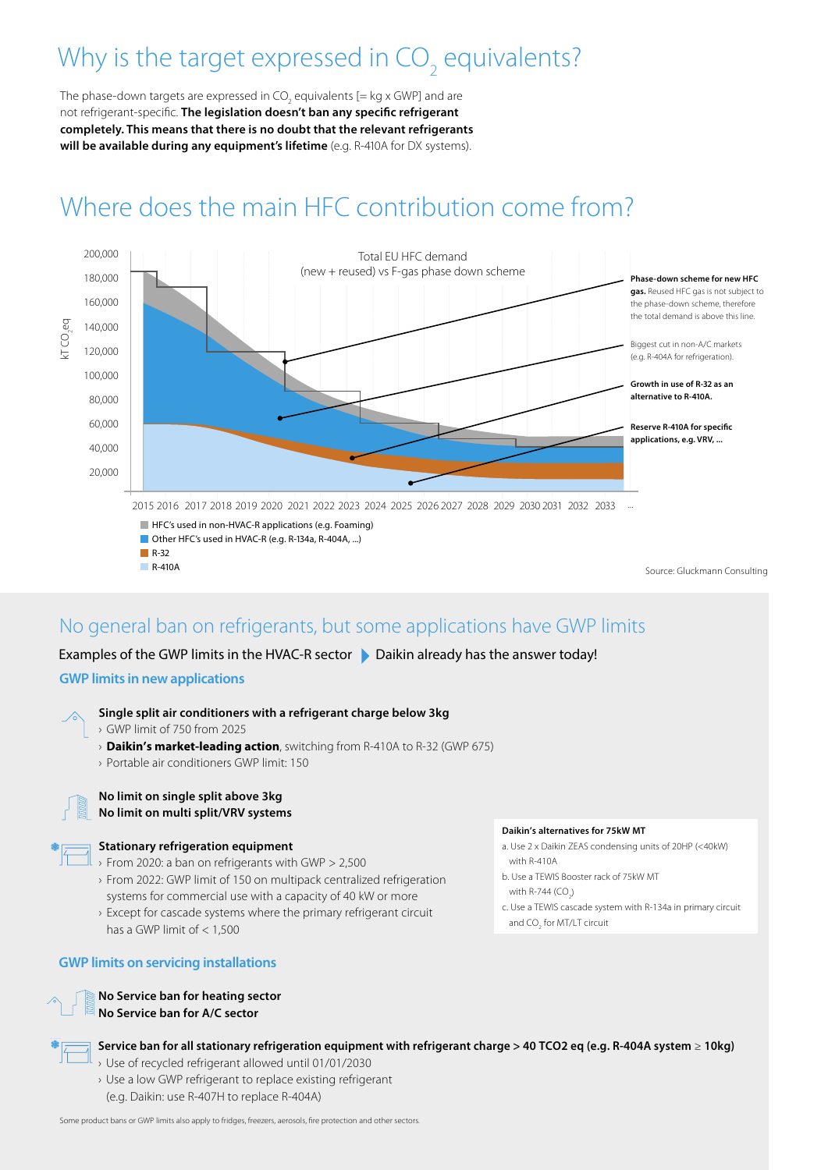# Why is the target expressed in CO<sub>2</sub> equivalents?

The phase-down targets are expressed in CO<sub>2</sub> equivalents [= kg x GWP] and are not refrigerant-specific. **The legislation doesn't ban any specific refrigerant completely. This means that there is no doubt that the relevant refrigerants**  will be available during any equipment's lifetime (e.g. R-410A for DX systems).

## Where does the main HFC contribution come from?



#### No general ban on refrigerants, but some applications have GWP limits

Examples of the GWP limits in the HVAC-R sector  $\blacktriangleright$  Daikin already has the answer today!

#### **GWP limits in new applications**

- **Single split air conditioners with a refrigerant charge below 3kg**
- › GWP limit of 750 from 2025
- › **Daikin's market-leading action**, switching from R-410A to R-32 (GWP 675)
- › Portable air conditioners GWP limit: 150



#### **No limit on single split above 3kg No limit on multi split/VRV systems**

#### **Stationary refrigeration equipment**

- › From 2020: a ban on refrigerants with GWP > 2,500
- › From 2022: GWP limit of 150 on multipack centralized refrigeration systems for commercial use with a capacity of 40 kW or more
- › Except for cascade systems where the primary refrigerant circuit has a GWP limit of < 1,500

#### **GWP limits on servicing installations**

#### **No Service ban for heating sector No Service ban for A/C sector**



**Service ban for all stationary refrigeration equipment with refrigerant charge > 40 TCO2 eq (e.g. R-404A system** ≥ **10kg)**

- › Use of recycled refrigerant allowed until 01/01/2030
- › Use a low GWP refrigerant to replace existing refrigerant (e.g. Daikin: use R-407H to replace R-404A)

Some product bans or GWP limits also apply to fridges, freezers, aerosols, fire protection and other sectors.

#### **Daikin's alternatives for 75kW MT**

- a. Use 2 x Daikin ZEAS condensing units of 20HP (<40kW) with R-410A
- b. Use a TEWIS Booster rack of 75kW MT with R-744 (CO<sub>2</sub>)
- c. Use a TEWIS cascade system with R-134a in primary circuit and CO<sub>2</sub> for MT/LT circuit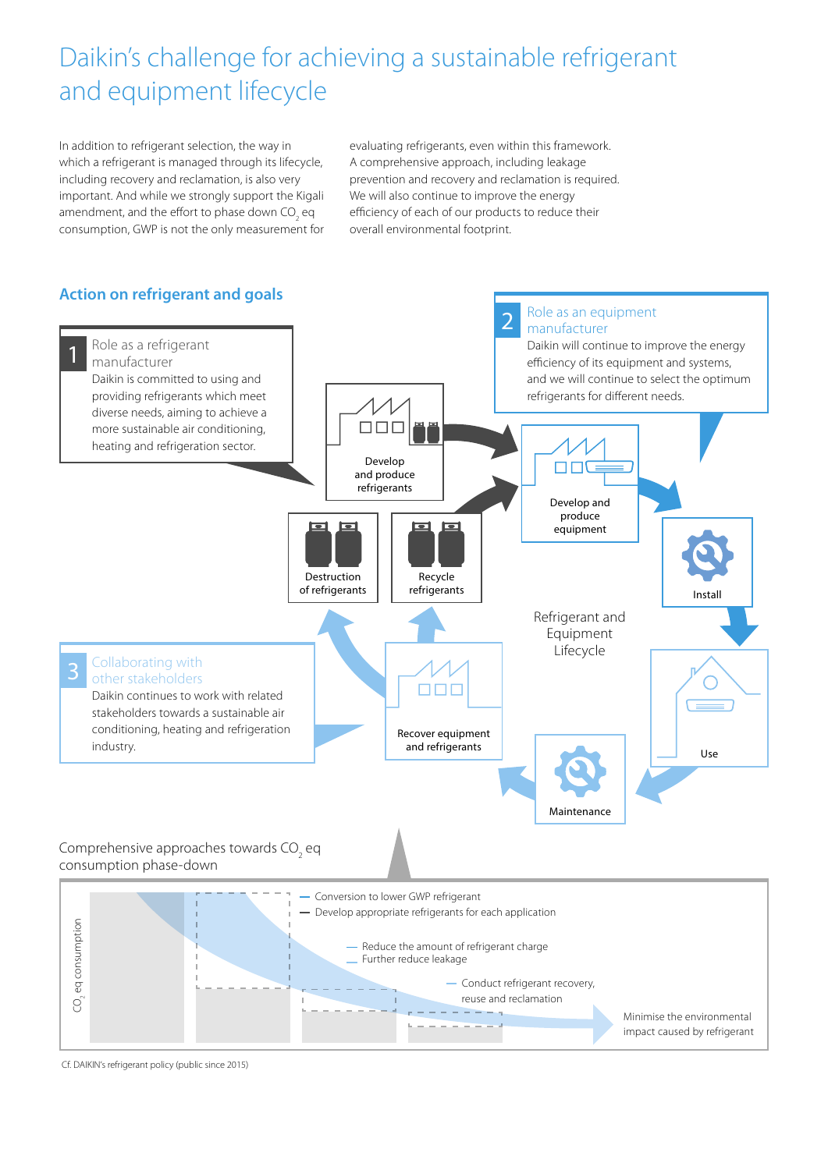### Daikin's challenge for achieving a sustainable refrigerant and equipment lifecycle

In addition to refrigerant selection, the way in which a refrigerant is managed through its lifecycle, including recovery and reclamation, is also very important. And while we strongly support the Kigali amendment, and the effort to phase down CO<sub>2</sub> eq consumption, GWP is not the only measurement for

evaluating refrigerants, even within this framework. A comprehensive approach, including leakage prevention and recovery and reclamation is required. We will also continue to improve the energy efficiency of each of our products to reduce their overall environmental footprint.



Cf. DAIKIN's refrigerant policy (public since 2015)